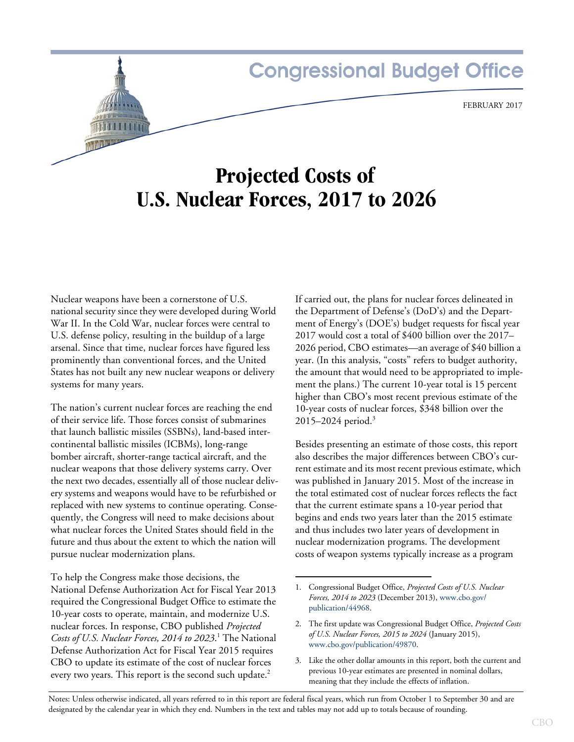# **Congressional Budget Office**

# **Projected Costs of U.S. Nuclear Forces, 2017 to 2026**

Nuclear weapons have been a cornerstone of U.S. national security since they were developed during World War II. In the Cold War, nuclear forces were central to U.S. defense policy, resulting in the buildup of a large arsenal. Since that time, nuclear forces have figured less prominently than conventional forces, and the United States has not built any new nuclear weapons or delivery systems for many years.

The nation's current nuclear forces are reaching the end of their service life. Those forces consist of submarines that launch ballistic missiles (SSBNs), land-based intercontinental ballistic missiles (ICBMs), long-range bomber aircraft, shorter-range tactical aircraft, and the nuclear weapons that those delivery systems carry. Over the next two decades, essentially all of those nuclear delivery systems and weapons would have to be refurbished or replaced with new systems to continue operating. Consequently, the Congress will need to make decisions about what nuclear forces the United States should field in the future and thus about the extent to which the nation will pursue nuclear modernization plans.

To help the Congress make those decisions, the National Defense Authorization Act for Fiscal Year 2013 required the Congressional Budget Office to estimate the 10-year costs to operate, maintain, and modernize U.S. nuclear forces. In response, CBO published *Projected*  Costs of U.S. Nuclear Forces, 2014 to 2023.<sup>1</sup> The National Defense Authorization Act for Fiscal Year 2015 requires CBO to update its estimate of the cost of nuclear forces every two years. This report is the second such update.<sup>2</sup>

If carried out, the plans for nuclear forces delineated in the Department of Defense's (DoD's) and the Department of Energy's (DOE's) budget requests for fiscal year 2017 would cost a total of \$400 billion over the 2017– 2026 period, CBO estimates—an average of \$40 billion a year. (In this analysis, "costs" refers to budget authority, the amount that would need to be appropriated to implement the plans.) The current 10-year total is 15 percent higher than CBO's most recent previous estimate of the 10-year costs of nuclear forces, \$348 billion over the  $2015 - 2024$  period.<sup>3</sup>

Besides presenting an estimate of those costs, this report also describes the major differences between CBO's current estimate and its most recent previous estimate, which was published in January 2015. Most of the increase in the total estimated cost of nuclear forces reflects the fact that the current estimate spans a 10-year period that begins and ends two years later than the 2015 estimate and thus includes two later years of development in nuclear modernization programs. The development costs of weapon systems typically increase as a program

3. Like the other dollar amounts in this report, both the current and previous 10-year estimates are presented in nominal dollars, meaning that they include the effects of inflation.

Notes: Unless otherwise indicated, all years referred to in this report are federal fiscal years, which run from October 1 to September 30 and are designated by the calendar year in which they end. Numbers in the text and tables may not add up to totals because of rounding.

<sup>1.</sup> Congressional Budget Office, *Projected Costs of U.S. Nuclear Forces, 2014 to 2023* (December 2013), [www.cbo.gov/](http://www.cbo.gov/publication/44968) [publication/44968](http://www.cbo.gov/publication/44968).

<sup>2.</sup> The first update was Congressional Budget Office, *Projected Costs of U.S. Nuclear Forces, 2015 to 2024* (January 2015), [www.cbo.gov/publication/49870](http://www.cbo.gov/publication/49870).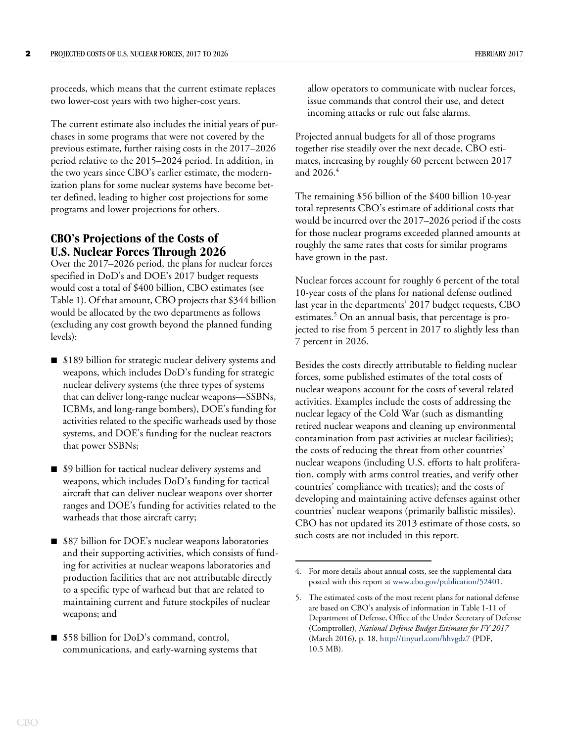proceeds, which means that the current estimate replaces two lower-cost years with two higher-cost years.

The current estimate also includes the initial years of purchases in some programs that were not covered by the previous estimate, further raising costs in the 2017–2026 period relative to the 2015–2024 period. In addition, in the two years since CBO's earlier estimate, the modernization plans for some nuclear systems have become better defined, leading to higher cost projections for some programs and lower projections for others.

# **CBO's Projections of the Costs of U.S. Nuclear Forces Through 2026**

Over the 2017–2026 period, the plans for nuclear forces specified in DoD's and DOE's 2017 budget requests would cost a total of \$400 billion, CBO estimates (see [Table 1](#page-2-0)). Of that amount, CBO projects that \$344 billion would be allocated by the two departments as follows (excluding any cost growth beyond the planned funding levels):

- \$189 billion for strategic nuclear delivery systems and weapons, which includes DoD's funding for strategic nuclear delivery systems (the three types of systems that can deliver long-range nuclear weapons—SSBNs, ICBMs, and long-range bombers), DOE's funding for activities related to the specific warheads used by those systems, and DOE's funding for the nuclear reactors that power SSBNs;
- \$9 billion for tactical nuclear delivery systems and weapons, which includes DoD's funding for tactical aircraft that can deliver nuclear weapons over shorter ranges and DOE's funding for activities related to the warheads that those aircraft carry;
- \$87 billion for DOE's nuclear weapons laboratories and their supporting activities, which consists of funding for activities at nuclear weapons laboratories and production facilities that are not attributable directly to a specific type of warhead but that are related to maintaining current and future stockpiles of nuclear weapons; and
- \$58 billion for DoD's command, control, communications, and early-warning systems that

allow operators to communicate with nuclear forces, issue commands that control their use, and detect incoming attacks or rule out false alarms.

Projected annual budgets for all of those programs together rise steadily over the next decade, CBO estimates, increasing by roughly 60 percent between 2017 and  $2026<sup>4</sup>$ 

The remaining \$56 billion of the \$400 billion 10-year total represents CBO's estimate of additional costs that would be incurred over the 2017–2026 period if the costs for those nuclear programs exceeded planned amounts at roughly the same rates that costs for similar programs have grown in the past.

Nuclear forces account for roughly 6 percent of the total 10-year costs of the plans for national defense outlined last year in the departments' 2017 budget requests, CBO estimates.<sup>5</sup> On an annual basis, that percentage is projected to rise from 5 percent in 2017 to slightly less than 7 percent in 2026.

Besides the costs directly attributable to fielding nuclear forces, some published estimates of the total costs of nuclear weapons account for the costs of several related activities. Examples include the costs of addressing the nuclear legacy of the Cold War (such as dismantling retired nuclear weapons and cleaning up environmental contamination from past activities at nuclear facilities); the costs of reducing the threat from other countries' nuclear weapons (including U.S. efforts to halt proliferation, comply with arms control treaties, and verify other countries' compliance with treaties); and the costs of developing and maintaining active defenses against other countries' nuclear weapons (primarily ballistic missiles). CBO has not updated its 2013 estimate of those costs, so such costs are not included in this report.

<sup>4.</sup> For more details about annual costs, see the supplemental data posted with this report at [www.cbo.gov/publication/52401](http://www.cbo.gov/publication/52401).

<sup>5.</sup> The estimated costs of the most recent plans for national defense are based on CBO's analysis of information in Table 1-11 of Department of Defense, Office of the Under Secretary of Defense (Comptroller), *National Defense Budget Estimates for FY 2017* (March 2016), p. 18,<http://tinyurl.com/hhvgdz7>(PDF, 10.5 MB).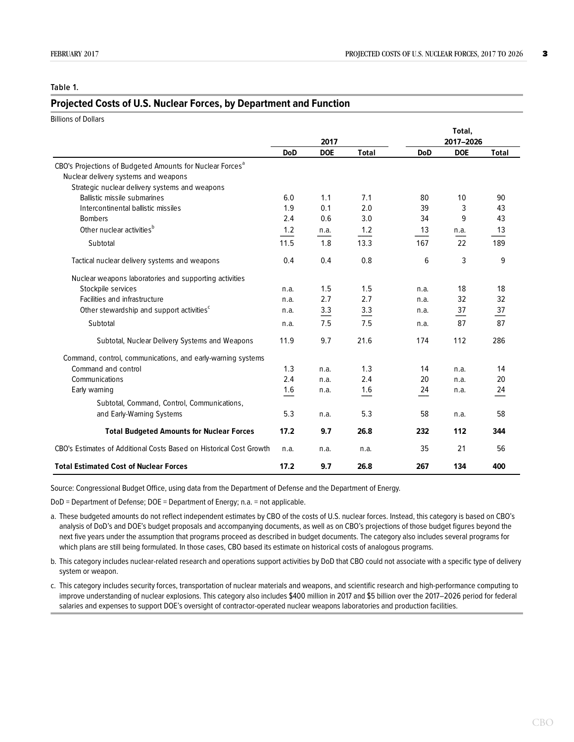#### <span id="page-2-0"></span>**Table 1.**

#### **Projected Costs of U.S. Nuclear Forces, by Department and Function**

| <b>Billions of Dollars</b>                                            |            |                    |              |            |                         |                |
|-----------------------------------------------------------------------|------------|--------------------|--------------|------------|-------------------------|----------------|
|                                                                       |            |                    |              | Total,     |                         |                |
|                                                                       | <b>DoD</b> | 2017<br><b>DOE</b> | <b>Total</b> | <b>DoD</b> | 2017-2026<br><b>DOE</b> | <b>Total</b>   |
| CBO's Projections of Budgeted Amounts for Nuclear Forces <sup>a</sup> |            |                    |              |            |                         |                |
| Nuclear delivery systems and weapons                                  |            |                    |              |            |                         |                |
| Strategic nuclear delivery systems and weapons                        |            |                    |              |            |                         |                |
| Ballistic missile submarines                                          | 6.0        | 1.1                | 7.1          | 80         | 10                      | 90             |
| Intercontinental ballistic missiles                                   | 1.9        | 0.1                | 2.0          | 39         | 3                       | 43             |
| <b>Bombers</b>                                                        | 2.4        | 0.6                | 3.0          | 34         | 9                       | 43             |
| Other nuclear activities <sup>b</sup>                                 | 1.2        |                    | 1.2          | 13         |                         | 13             |
|                                                                       |            | n.a.               |              |            | n.a.                    |                |
| Subtotal                                                              | 11.5       | 1.8                | 13.3         | 167        | 22                      | 189            |
| Tactical nuclear delivery systems and weapons                         | 0.4        | 0.4                | 0.8          | 6          | 3                       | 9              |
| Nuclear weapons laboratories and supporting activities                |            |                    |              |            |                         |                |
| Stockpile services                                                    | n.a.       | 1.5                | 1.5          | n.a.       | 18                      | 18             |
| Facilities and infrastructure                                         | n.a.       | 2.7                | 2.7          | n.a.       | 32                      | 32             |
| Other stewardship and support activities <sup>c</sup>                 | n.a.       | 3.3                | 3.3          | n.a.       | 37                      | $\frac{37}{2}$ |
| Subtotal                                                              | n.a.       | 7.5                | 7.5          | n.a.       | 87                      | 87             |
| Subtotal, Nuclear Delivery Systems and Weapons                        | 11.9       | 9.7                | 21.6         | 174        | 112                     | 286            |
| Command, control, communications, and early-warning systems           |            |                    |              |            |                         |                |
| Command and control                                                   | 1.3        | n.a.               | 1.3          | 14         | n.a.                    | 14             |
| Communications                                                        | 2.4        | n.a.               | 2.4          | 20         | n.a.                    | 20             |
| Early warning                                                         | 1.6        | n.a.               | 1.6          | 24         | n.a.                    | 24             |
| Subtotal, Command, Control, Communications,                           |            |                    |              |            |                         |                |
| and Early-Warning Systems                                             | 5.3        | n.a.               | 5.3          | 58         | n.a.                    | 58             |
| <b>Total Budgeted Amounts for Nuclear Forces</b>                      | 17.2       | 9.7                | 26.8         | 232        | 112                     | 344            |
| CBO's Estimates of Additional Costs Based on Historical Cost Growth   | n.a.       | n.a.               | n.a.         | 35         | 21                      | 56             |
| <b>Total Estimated Cost of Nuclear Forces</b>                         | 17.2       | 9.7                | 26.8         | 267        | 134                     | 400            |

Source: Congressional Budget Office, using data from the Department of Defense and the Department of Energy.

DoD = Department of Defense; DOE = Department of Energy; n.a. = not applicable.

a. These budgeted amounts do not reflect independent estimates by CBO of the costs of U.S. nuclear forces. Instead, this category is based on CBO's analysis of DoD's and DOE's budget proposals and accompanying documents, as well as on CBO's projections of those budget figures beyond the next five years under the assumption that programs proceed as described in budget documents. The category also includes several programs for which plans are still being formulated. In those cases, CBO based its estimate on historical costs of analogous programs.

b. This category includes nuclear-related research and operations support activities by DoD that CBO could not associate with a specific type of delivery system or weapon.

c. This category includes security forces, transportation of nuclear materials and weapons, and scientific research and high-performance computing to improve understanding of nuclear explosions. This category also includes \$400 million in 2017 and \$5 billion over the 2017–2026 period for federal salaries and expenses to support DOE's oversight of contractor-operated nuclear weapons laboratories and production facilities.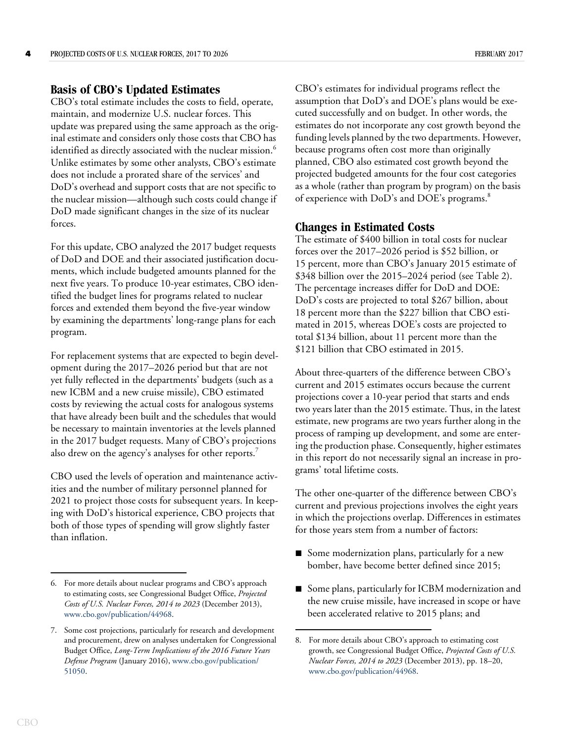# **Basis of CBO's Updated Estimates**

CBO's total estimate includes the costs to field, operate, maintain, and modernize U.S. nuclear forces. This update was prepared using the same approach as the original estimate and considers only those costs that CBO has identified as directly associated with the nuclear mission.<sup>6</sup> Unlike estimates by some other analysts, CBO's estimate does not include a prorated share of the services' and DoD's overhead and support costs that are not specific to the nuclear mission—although such costs could change if DoD made significant changes in the size of its nuclear forces.

For this update, CBO analyzed the 2017 budget requests of DoD and DOE and their associated justification documents, which include budgeted amounts planned for the next five years. To produce 10-year estimates, CBO identified the budget lines for programs related to nuclear forces and extended them beyond the five-year window by examining the departments' long-range plans for each program.

For replacement systems that are expected to begin development during the 2017–2026 period but that are not yet fully reflected in the departments' budgets (such as a new ICBM and a new cruise missile), CBO estimated costs by reviewing the actual costs for analogous systems that have already been built and the schedules that would be necessary to maintain inventories at the levels planned in the 2017 budget requests. Many of CBO's projections also drew on the agency's analyses for other reports.<sup>7</sup>

CBO used the levels of operation and maintenance activities and the number of military personnel planned for 2021 to project those costs for subsequent years. In keeping with DoD's historical experience, CBO projects that both of those types of spending will grow slightly faster than inflation.

CBO's estimates for individual programs reflect the assumption that DoD's and DOE's plans would be executed successfully and on budget. In other words, the estimates do not incorporate any cost growth beyond the funding levels planned by the two departments. However, because programs often cost more than originally planned, CBO also estimated cost growth beyond the projected budgeted amounts for the four cost categories as a whole (rather than program by program) on the basis of experience with DoD's and DOE's programs.<sup>8</sup>

## **Changes in Estimated Costs**

The estimate of \$400 billion in total costs for nuclear forces over the 2017–2026 period is \$52 billion, or 15 percent, more than CBO's January 2015 estimate of \$348 billion over the 2015–2024 period (see [Table 2](#page-4-0)). The percentage increases differ for DoD and DOE: DoD's costs are projected to total \$267 billion, about 18 percent more than the \$227 billion that CBO estimated in 2015, whereas DOE's costs are projected to total \$134 billion, about 11 percent more than the \$121 billion that CBO estimated in 2015.

About three-quarters of the difference between CBO's current and 2015 estimates occurs because the current projections cover a 10-year period that starts and ends two years later than the 2015 estimate. Thus, in the latest estimate, new programs are two years further along in the process of ramping up development, and some are entering the production phase. Consequently, higher estimates in this report do not necessarily signal an increase in programs' total lifetime costs.

The other one-quarter of the difference between CBO's current and previous projections involves the eight years in which the projections overlap. Differences in estimates for those years stem from a number of factors:

- $\blacksquare$  Some modernization plans, particularly for a new bomber, have become better defined since 2015;
- Some plans, particularly for ICBM modernization and the new cruise missile, have increased in scope or have been accelerated relative to 2015 plans; and

<sup>6.</sup> For more details about nuclear programs and CBO's approach to estimating costs, see Congressional Budget Office, *Projected Costs of U.S. Nuclear Forces, 2014 to 2023* (December 2013), [www.cbo.gov/publication/44968](http://www.cbo.gov/publication/44968).

<sup>7.</sup> Some cost projections, particularly for research and development and procurement, drew on analyses undertaken for Congressional Budget Office, *Long-Term Implications of the 2016 Future Years Defense Program* (January 2016), [www.cbo.gov/publication/](http://www.cbo.gov/publication/51050) [51050.](http://www.cbo.gov/publication/51050)

<sup>8.</sup> For more details about CBO's approach to estimating cost growth, see Congressional Budget Office, *Projected Costs of U.S. Nuclear Forces, 2014 to 2023* (December 2013), pp. 18–20[,](http://www.cbo.gov/publication/44968) [www.cbo.gov/publication/44968](http://www.cbo.gov/publication/44968).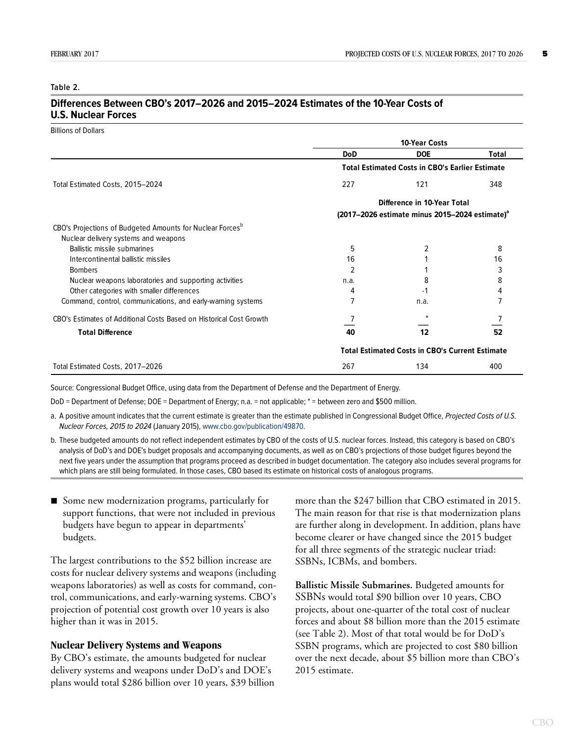#### <span id="page-4-0"></span>**Table 2.**

### **Differences Between CBO's 2017–2026 and 2015–2024 Estimates of the 10-Year Costs of U.S. Nuclear Forces**

Billions of Dollars

|                                                                                                               |                                                            | <b>10-Year Costs</b>                                   |       |  |  |
|---------------------------------------------------------------------------------------------------------------|------------------------------------------------------------|--------------------------------------------------------|-------|--|--|
|                                                                                                               | <b>DoD</b>                                                 | <b>DOE</b>                                             | Total |  |  |
|                                                                                                               | <b>Total Estimated Costs in CBO's Earlier Estimate</b>     |                                                        |       |  |  |
| Total Estimated Costs, 2015-2024                                                                              | 227                                                        | 121                                                    | 348   |  |  |
|                                                                                                               | Difference in 10-Year Total                                |                                                        |       |  |  |
|                                                                                                               | (2017–2026 estimate minus 2015–2024 estimate) <sup>a</sup> |                                                        |       |  |  |
| CBO's Projections of Budgeted Amounts for Nuclear Forces <sup>p</sup><br>Nuclear delivery systems and weapons |                                                            |                                                        |       |  |  |
| Ballistic missile submarines                                                                                  | 5                                                          |                                                        | 8     |  |  |
| Intercontinental ballistic missiles                                                                           | 16                                                         |                                                        | 16    |  |  |
| <b>Bombers</b>                                                                                                | 2                                                          |                                                        | 3     |  |  |
| Nuclear weapons laboratories and supporting activities                                                        | n.a.                                                       | 8                                                      | 8     |  |  |
| Other categories with smaller differences                                                                     | 4                                                          | -1                                                     |       |  |  |
| Command, control, communications, and early-warning systems                                                   |                                                            | n.a.                                                   |       |  |  |
| CBO's Estimates of Additional Costs Based on Historical Cost Growth                                           |                                                            |                                                        |       |  |  |
| <b>Total Difference</b>                                                                                       | 40                                                         | 12                                                     | 52    |  |  |
|                                                                                                               |                                                            | <b>Total Estimated Costs in CBO's Current Estimate</b> |       |  |  |
| Total Estimated Costs, 2017-2026                                                                              | 267                                                        | 134                                                    | 400   |  |  |

Source: Congressional Budget Office, using data from the Department of Defense and the Department of Energy.

DoD = Department of Defense; DOE = Department of Energy; n.a. = not applicable; \* = between zero and \$500 million.

a. A positive amount indicates that the current estimate is greater than the estimate published in Congressional Budget Office, Projected Costs of U.S. Nuclear Forces, 2015 to 2024 (January 2015), [www.cbo.gov/publication/49870.](https://www.cbo.gov/publication/49870)

b. These budgeted amounts do not reflect independent estimates by CBO of the costs of U.S. nuclear forces. Instead, this category is based on CBO's analysis of DoD's and DOE's budget proposals and accompanying documents, as well as on CBO's projections of those budget figures beyond the next five years under the assumption that programs proceed as described in budget documentation. The category also includes several programs for which plans are still being formulated. In those cases, CBO based its estimate on historical costs of analogous programs.

Some new modernization programs, particularly for support functions, that were not included in previous budgets have begun to appear in departments' budgets.

The largest contributions to the \$52 billion increase are costs for nuclear delivery systems and weapons (including weapons laboratories) as well as costs for command, control, communications, and early-warning systems. CBO's projection of potential cost growth over 10 years is also higher than it was in 2015.

#### **Nuclear Delivery Systems and Weapons**

By CBO's estimate, the amounts budgeted for nuclear delivery systems and weapons under DoD's and DOE's plans would total \$286 billion over 10 years, \$39 billion more than the \$247 billion that CBO estimated in 2015. The main reason for that rise is that modernization plans are further along in development. In addition, plans have become clearer or have changed since the 2015 budget for all three segments of the strategic nuclear triad: SSBNs, ICBMs, and bombers.

**Ballistic Missile Submarines.** Budgeted amounts for SSBNs would total \$90 billion over 10 years, CBO projects, about one-quarter of the total cost of nuclear forces and about \$8 billion more than the 2015 estimate (see [Table 2\)](#page-4-0). Most of that total would be for DoD's SSBN programs, which are projected to cost \$80 billion over the next decade, about \$5 billion more than CBO's 2015 estimate.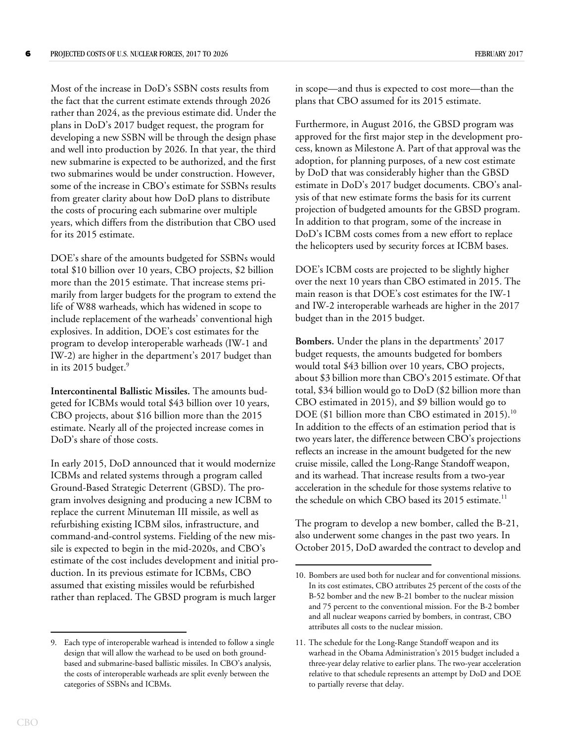Most of the increase in DoD's SSBN costs results from the fact that the current estimate extends through 2026 rather than 2024, as the previous estimate did. Under the plans in DoD's 2017 budget request, the program for developing a new SSBN will be through the design phase and well into production by 2026. In that year, the third new submarine is expected to be authorized, and the first two submarines would be under construction. However, some of the increase in CBO's estimate for SSBNs results from greater clarity about how DoD plans to distribute the costs of procuring each submarine over multiple years, which differs from the distribution that CBO used for its 2015 estimate.

DOE's share of the amounts budgeted for SSBNs would total \$10 billion over 10 years, CBO projects, \$2 billion more than the 2015 estimate. That increase stems primarily from larger budgets for the program to extend the life of W88 warheads, which has widened in scope to include replacement of the warheads' conventional high explosives. In addition, DOE's cost estimates for the program to develop interoperable warheads (IW-1 and IW-2) are higher in the department's 2017 budget than in its 2015 budget. $9$ 

**Intercontinental Ballistic Missiles.** The amounts budgeted for ICBMs would total \$43 billion over 10 years, CBO projects, about \$16 billion more than the 2015 estimate. Nearly all of the projected increase comes in DoD's share of those costs.

In early 2015, DoD announced that it would modernize ICBMs and related systems through a program called Ground-Based Strategic Deterrent (GBSD). The program involves designing and producing a new ICBM to replace the current Minuteman III missile, as well as refurbishing existing ICBM silos, infrastructure, and command-and-control systems. Fielding of the new missile is expected to begin in the mid-2020s, and CBO's estimate of the cost includes development and initial production. In its previous estimate for ICBMs, CBO assumed that existing missiles would be refurbished rather than replaced. The GBSD program is much larger

in scope—and thus is expected to cost more—than the plans that CBO assumed for its 2015 estimate.

Furthermore, in August 2016, the GBSD program was approved for the first major step in the development process, known as Milestone A. Part of that approval was the adoption, for planning purposes, of a new cost estimate by DoD that was considerably higher than the GBSD estimate in DoD's 2017 budget documents. CBO's analysis of that new estimate forms the basis for its current projection of budgeted amounts for the GBSD program. In addition to that program, some of the increase in DoD's ICBM costs comes from a new effort to replace the helicopters used by security forces at ICBM bases.

DOE's ICBM costs are projected to be slightly higher over the next 10 years than CBO estimated in 2015. The main reason is that DOE's cost estimates for the IW-1 and IW-2 interoperable warheads are higher in the 2017 budget than in the 2015 budget.

**Bombers.** Under the plans in the departments' 2017 budget requests, the amounts budgeted for bombers would total \$43 billion over 10 years, CBO projects, about \$3 billion more than CBO's 2015 estimate. Of that total, \$34 billion would go to DoD (\$2 billion more than CBO estimated in 2015), and \$9 billion would go to DOE (\$1 billion more than CBO estimated in 2015).<sup>10</sup> In addition to the effects of an estimation period that is two years later, the difference between CBO's projections reflects an increase in the amount budgeted for the new cruise missile, called the Long-Range Standoff weapon, and its warhead. That increase results from a two-year acceleration in the schedule for those systems relative to the schedule on which CBO based its 2015 estimate.<sup>11</sup>

The program to develop a new bomber, called the B-21, also underwent some changes in the past two years. In October 2015, DoD awarded the contract to develop and

<sup>9.</sup> Each type of interoperable warhead is intended to follow a single design that will allow the warhead to be used on both groundbased and submarine-based ballistic missiles. In CBO's analysis, the costs of interoperable warheads are split evenly between the categories of SSBNs and ICBMs.

<sup>10.</sup> Bombers are used both for nuclear and for conventional missions. In its cost estimates, CBO attributes 25 percent of the costs of the B-52 bomber and the new B-21 bomber to the nuclear mission and 75 percent to the conventional mission. For the B-2 bomber and all nuclear weapons carried by bombers, in contrast, CBO attributes all costs to the nuclear mission.

<sup>11.</sup> The schedule for the Long-Range Standoff weapon and its warhead in the Obama Administration's 2015 budget included a three-year delay relative to earlier plans. The two-year acceleration relative to that schedule represents an attempt by DoD and DOE to partially reverse that delay.